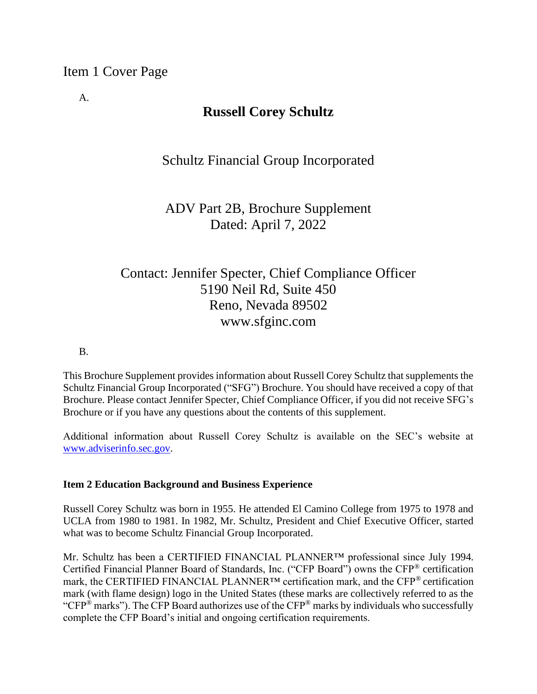A.

# **Russell Corey Schultz**

## Schultz Financial Group Incorporated

# ADV Part 2B, Brochure Supplement Dated: April 7, 2022

# Contact: Jennifer Specter, Chief Compliance Officer 5190 Neil Rd, Suite 450 Reno, Nevada 89502 www.sfginc.com

B.

This Brochure Supplement provides information about Russell Corey Schultz that supplements the Schultz Financial Group Incorporated ("SFG") Brochure. You should have received a copy of that Brochure. Please contact Jennifer Specter, Chief Compliance Officer, if you did not receive SFG's Brochure or if you have any questions about the contents of this supplement.

Additional information about Russell Corey Schultz is available on the SEC's website at [www.adviserinfo.sec.gov.](http://www.adviserinfo.sec.gov/)

### **Item 2 Education Background and Business Experience**

Russell Corey Schultz was born in 1955. He attended El Camino College from 1975 to 1978 and UCLA from 1980 to 1981. In 1982, Mr. Schultz, President and Chief Executive Officer, started what was to become Schultz Financial Group Incorporated.

Mr. Schultz has been a CERTIFIED FINANCIAL PLANNER™ professional since July 1994. Certified Financial Planner Board of Standards, Inc. ("CFP Board") owns the CFP® certification mark, the CERTIFIED FINANCIAL PLANNER™ certification mark, and the CFP® certification mark (with flame design) logo in the United States (these marks are collectively referred to as the "CFP<sup>®</sup> marks"). The CFP Board authorizes use of the CFP<sup>®</sup> marks by individuals who successfully complete the CFP Board's initial and ongoing certification requirements.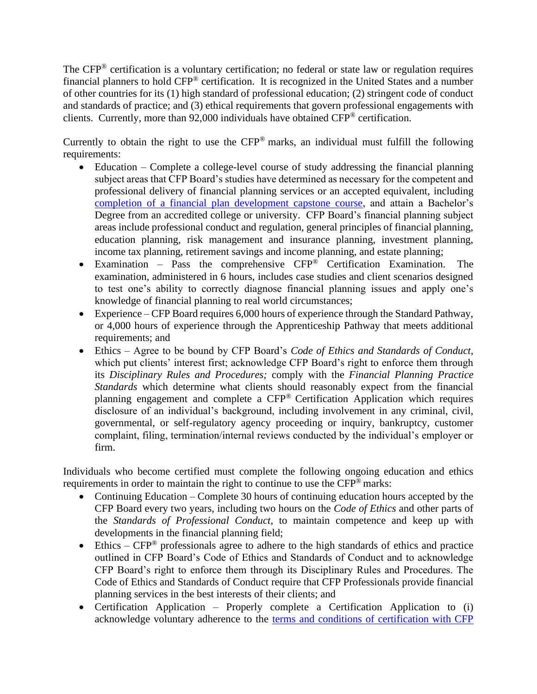The CFP<sup>®</sup> certification is a voluntary certification; no federal or state law or regulation requires financial planners to hold CFP® certification. It is recognized in the United States and a number of other countries for its (1) high standard of professional education; (2) stringent code of conduct and standards of practice; and (3) ethical requirements that govern professional engagements with clients. Currently, more than 92,000 individuals have obtained CFP® certification.

Currently to obtain the right to use the  $CFP^*$  marks, an individual must fulfill the following requirements:

- Education Complete a college-level course of study addressing the financial planning subject areas that CFP Board's studies have determined as necessary for the competent and professional delivery of financial planning services or an accepted equivalent, including [completion of a financial plan development capstone course,](https://www.cfp.net/become-a-cfp-professional/cfp-certification-requirements/education-requirement/capstone-course) and attain a Bachelor's Degree from an accredited college or university. CFP Board's financial planning subject areas include professional conduct and regulation, general principles of financial planning, education planning, risk management and insurance planning, investment planning, income tax planning, retirement savings and income planning, and estate planning;
- Examination Pass the comprehensive CFP® Certification Examination. The examination, administered in 6 hours, includes case studies and client scenarios designed to test one's ability to correctly diagnose financial planning issues and apply one's knowledge of financial planning to real world circumstances;
- Experience CFP Board requires 6,000 hours of experience through the Standard Pathway, or 4,000 hours of experience through the Apprenticeship Pathway that meets additional requirements; and
- Ethics Agree to be bound by CFP Board's *Code of Ethics and Standards of Conduct*, which put clients' interest first; acknowledge CFP Board's right to enforce them through its *Disciplinary Rules and Procedures;* comply with the *Financial Planning Practice Standards* which determine what clients should reasonably expect from the financial planning engagement and complete a CFP® Certification Application which requires disclosure of an individual's background, including involvement in any criminal, civil, governmental, or self-regulatory agency proceeding or inquiry, bankruptcy, customer complaint, filing, termination/internal reviews conducted by the individual's employer or firm.

Individuals who become certified must complete the following ongoing education and ethics requirements in order to maintain the right to continue to use the CFP® marks:

- Continuing Education Complete 30 hours of continuing education hours accepted by the CFP Board every two years, including two hours on the *Code of Ethics* and other parts of the *Standards of Professional Conduct*, to maintain competence and keep up with developments in the financial planning field;
- Ethics  $CFP^®$  professionals agree to adhere to the high standards of ethics and practice outlined in CFP Board's Code of Ethics and Standards of Conduct and to acknowledge CFP Board's right to enforce them through its Disciplinary Rules and Procedures. The Code of Ethics and Standards of Conduct require that CFP Professionals provide financial planning services in the best interests of their clients; and
- Certification Application Properly complete a Certification Application to (i) acknowledge voluntary adherence to the [terms and conditions of certification with CFP](https://www.cfp.net/utility/terms-and-conditions-of-certification-and-license)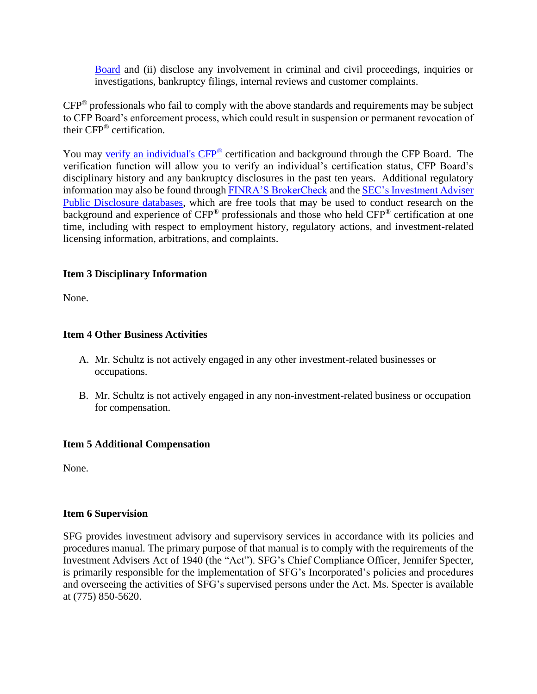[Board](https://www.cfp.net/utility/terms-and-conditions-of-certification-and-license) and (ii) disclose any involvement in criminal and civil proceedings, inquiries or investigations, bankruptcy filings, internal reviews and customer complaints.

CFP® professionals who fail to comply with the above standards and requirements may be subject to CFP Board's enforcement process, which could result in suspension or permanent revocation of their CFP® certification.

You may [verify an individual's CFP](https://www.cfp.net/verify-a-cfp-professional)® certification and background through the CFP Board. The verification function will allow you to verify an individual's certification status, CFP Board's disciplinary history and any bankruptcy disclosures in the past ten years. Additional regulatory information may also be found through [FINRA'S BrokerCheck](https://brokercheck.finra.org/) and the SEC's Investment Adviser [Public Disclosure databases,](https://www.adviserinfo.sec.gov/IAPD/Default.aspx) which are free tools that may be used to conduct research on the background and experience of CFP® professionals and those who held CFP® certification at one time, including with respect to employment history, regulatory actions, and investment-related licensing information, arbitrations, and complaints.

### **Item 3 Disciplinary Information**

None.

### **Item 4 Other Business Activities**

- A. Mr. Schultz is not actively engaged in any other investment-related businesses or occupations.
- B. Mr. Schultz is not actively engaged in any non-investment-related business or occupation for compensation.

### **Item 5 Additional Compensation**

None.

### **Item 6 Supervision**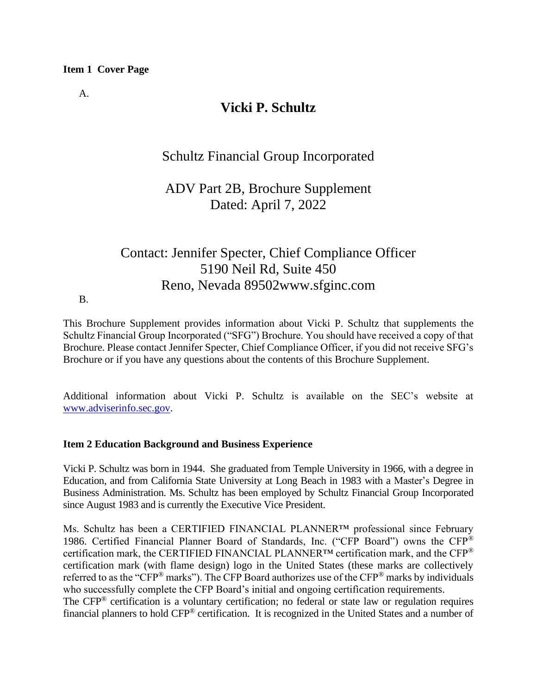A.

# **Vicki P. Schultz**

## Schultz Financial Group Incorporated

## ADV Part 2B, Brochure Supplement Dated: April 7, 2022

# Contact: Jennifer Specter, Chief Compliance Officer 5190 Neil Rd, Suite 450 Reno, Nevada 89502www.sfginc.com

#### B.

This Brochure Supplement provides information about Vicki P. Schultz that supplements the Schultz Financial Group Incorporated ("SFG") Brochure. You should have received a copy of that Brochure. Please contact Jennifer Specter, Chief Compliance Officer, if you did not receive SFG's Brochure or if you have any questions about the contents of this Brochure Supplement.

Additional information about Vicki P. Schultz is available on the SEC's website at [www.adviserinfo.sec.gov.](http://www.adviserinfo.sec.gov/)

### **Item 2 Education Background and Business Experience**

Vicki P. Schultz was born in 1944. She graduated from Temple University in 1966, with a degree in Education, and from California State University at Long Beach in 1983 with a Master's Degree in Business Administration. Ms. Schultz has been employed by Schultz Financial Group Incorporated since August 1983 and is currently the Executive Vice President.

Ms. Schultz has been a CERTIFIED FINANCIAL PLANNER™ professional since February 1986. Certified Financial Planner Board of Standards, Inc. ("CFP Board") owns the CFP® certification mark, the CERTIFIED FINANCIAL PLANNER™ certification mark, and the CFP® certification mark (with flame design) logo in the United States (these marks are collectively referred to as the "CFP® marks"). The CFP Board authorizes use of the CFP® marks by individuals who successfully complete the CFP Board's initial and ongoing certification requirements. The CFP® certification is a voluntary certification; no federal or state law or regulation requires financial planners to hold CFP® certification. It is recognized in the United States and a number of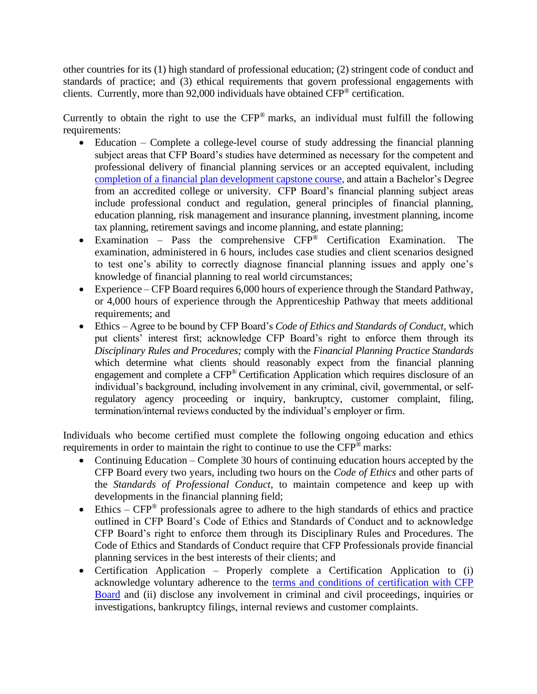other countries for its (1) high standard of professional education; (2) stringent code of conduct and standards of practice; and (3) ethical requirements that govern professional engagements with clients. Currently, more than 92,000 individuals have obtained CFP® certification.

Currently to obtain the right to use the CFP® marks, an individual must fulfill the following requirements:

- Education Complete a college-level course of study addressing the financial planning subject areas that CFP Board's studies have determined as necessary for the competent and professional delivery of financial planning services or an accepted equivalent, including [completion of a financial plan development](https://www.cfp.net/become-a-cfp-professional/cfp-certification-requirements/education-requirement/capstone-course) capstone course, and attain a Bachelor's Degree from an accredited college or university. CFP Board's financial planning subject areas include professional conduct and regulation, general principles of financial planning, education planning, risk management and insurance planning, investment planning, income tax planning, retirement savings and income planning, and estate planning;
- Examination Pass the comprehensive CFP® Certification Examination. The examination, administered in 6 hours, includes case studies and client scenarios designed to test one's ability to correctly diagnose financial planning issues and apply one's knowledge of financial planning to real world circumstances;
- Experience CFP Board requires 6,000 hours of experience through the Standard Pathway, or 4,000 hours of experience through the Apprenticeship Pathway that meets additional requirements; and
- Ethics Agree to be bound by CFP Board's *Code of Ethics and Standards of Conduct*, which put clients' interest first; acknowledge CFP Board's right to enforce them through its *Disciplinary Rules and Procedures;* comply with the *Financial Planning Practice Standards* which determine what clients should reasonably expect from the financial planning engagement and complete a CFP® Certification Application which requires disclosure of an individual's background, including involvement in any criminal, civil, governmental, or selfregulatory agency proceeding or inquiry, bankruptcy, customer complaint, filing, termination/internal reviews conducted by the individual's employer or firm.

Individuals who become certified must complete the following ongoing education and ethics requirements in order to maintain the right to continue to use the CFP® marks:

- Continuing Education Complete 30 hours of continuing education hours accepted by the CFP Board every two years, including two hours on the *Code of Ethics* and other parts of the *Standards of Professional Conduct*, to maintain competence and keep up with developments in the financial planning field;
- Ethics  $CFP^{\circledast}$  professionals agree to adhere to the high standards of ethics and practice outlined in CFP Board's Code of Ethics and Standards of Conduct and to acknowledge CFP Board's right to enforce them through its Disciplinary Rules and Procedures. The Code of Ethics and Standards of Conduct require that CFP Professionals provide financial planning services in the best interests of their clients; and
- Certification Application Properly complete a Certification Application to (i) acknowledge voluntary adherence to the [terms and conditions of certification with CFP](https://www.cfp.net/utility/terms-and-conditions-of-certification-and-license)  [Board](https://www.cfp.net/utility/terms-and-conditions-of-certification-and-license) and (ii) disclose any involvement in criminal and civil proceedings, inquiries or investigations, bankruptcy filings, internal reviews and customer complaints.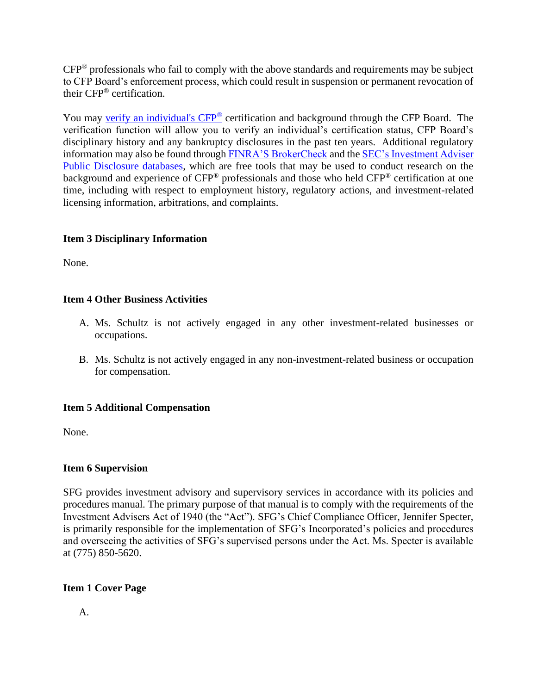CFP® professionals who fail to comply with the above standards and requirements may be subject to CFP Board's enforcement process, which could result in suspension or permanent revocation of their CFP® certification.

You may [verify an individual's CFP](https://www.cfp.net/verify-a-cfp-professional)<sup>®</sup> certification and background through the CFP Board. The verification function will allow you to verify an individual's certification status, CFP Board's disciplinary history and any bankruptcy disclosures in the past ten years. Additional regulatory information may also be found through [FINRA'S BrokerCheck](https://brokercheck.finra.org/) and the SEC's Investment Adviser [Public Disclosure databases,](https://www.adviserinfo.sec.gov/IAPD/Default.aspx) which are free tools that may be used to conduct research on the background and experience of CFP<sup>®</sup> professionals and those who held CFP<sup>®</sup> certification at one time, including with respect to employment history, regulatory actions, and investment-related licensing information, arbitrations, and complaints.

### **Item 3 Disciplinary Information**

None.

### **Item 4 Other Business Activities**

- A. Ms. Schultz is not actively engaged in any other investment-related businesses or occupations.
- B. Ms. Schultz is not actively engaged in any non-investment-related business or occupation for compensation.

### **Item 5 Additional Compensation**

None.

### **Item 6 Supervision**

SFG provides investment advisory and supervisory services in accordance with its policies and procedures manual. The primary purpose of that manual is to comply with the requirements of the Investment Advisers Act of 1940 (the "Act"). SFG's Chief Compliance Officer, Jennifer Specter, is primarily responsible for the implementation of SFG's Incorporated's policies and procedures and overseeing the activities of SFG's supervised persons under the Act. Ms. Specter is available at (775) 850-5620.

### **Item 1 Cover Page**

A.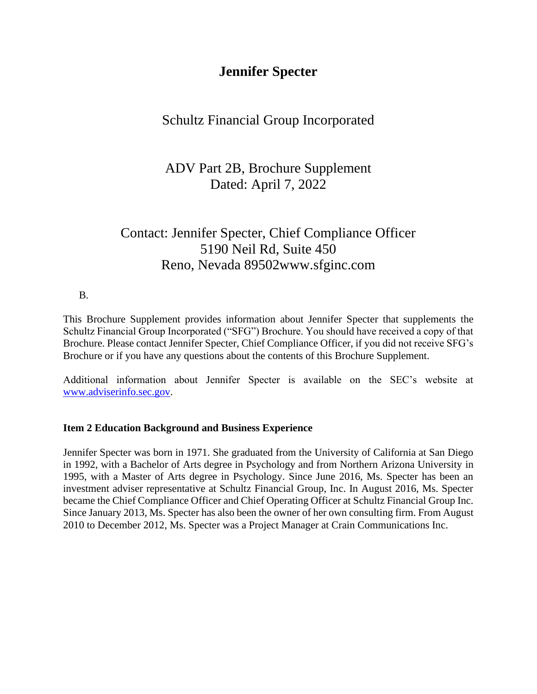# **Jennifer Specter**

## Schultz Financial Group Incorporated

# ADV Part 2B, Brochure Supplement Dated: April 7, 2022

# Contact: Jennifer Specter, Chief Compliance Officer 5190 Neil Rd, Suite 450 Reno, Nevada 89502www.sfginc.com

B.

This Brochure Supplement provides information about Jennifer Specter that supplements the Schultz Financial Group Incorporated ("SFG") Brochure. You should have received a copy of that Brochure. Please contact Jennifer Specter, Chief Compliance Officer, if you did not receive SFG's Brochure or if you have any questions about the contents of this Brochure Supplement.

Additional information about Jennifer Specter is available on the SEC's website at [www.adviserinfo.sec.gov.](http://www.adviserinfo.sec.gov/)

### **Item 2 Education Background and Business Experience**

Jennifer Specter was born in 1971. She graduated from the University of California at San Diego in 1992, with a Bachelor of Arts degree in Psychology and from Northern Arizona University in 1995, with a Master of Arts degree in Psychology. Since June 2016, Ms. Specter has been an investment adviser representative at Schultz Financial Group, Inc. In August 2016, Ms. Specter became the Chief Compliance Officer and Chief Operating Officer at Schultz Financial Group Inc. Since January 2013, Ms. Specter has also been the owner of her own consulting firm. From August 2010 to December 2012, Ms. Specter was a Project Manager at Crain Communications Inc.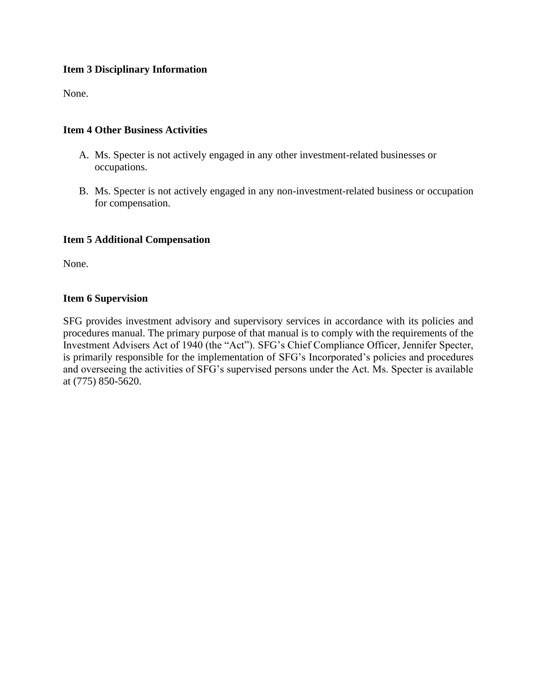### **Item 3 Disciplinary Information**

None.

### **Item 4 Other Business Activities**

- A. Ms. Specter is not actively engaged in any other investment-related businesses or occupations.
- B. Ms. Specter is not actively engaged in any non-investment-related business or occupation for compensation.

### **Item 5 Additional Compensation**

None.

### **Item 6 Supervision**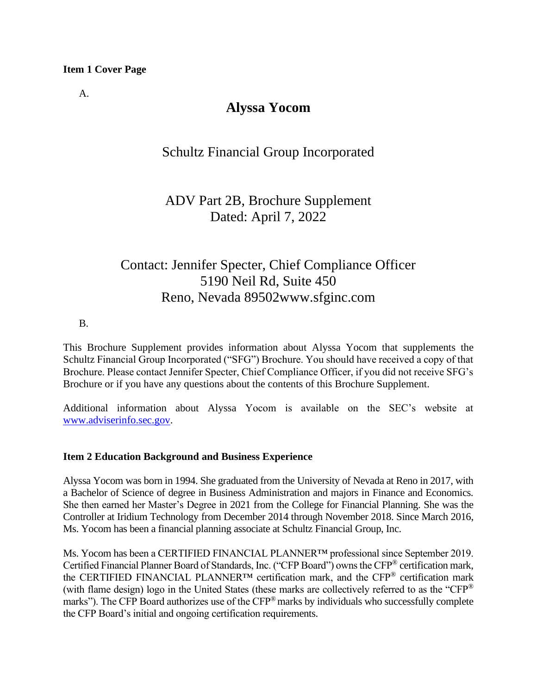A.

## **Alyssa Yocom**

## Schultz Financial Group Incorporated

## ADV Part 2B, Brochure Supplement Dated: April 7, 2022

# Contact: Jennifer Specter, Chief Compliance Officer 5190 Neil Rd, Suite 450 Reno, Nevada 89502www.sfginc.com

#### B.

This Brochure Supplement provides information about Alyssa Yocom that supplements the Schultz Financial Group Incorporated ("SFG") Brochure. You should have received a copy of that Brochure. Please contact Jennifer Specter, Chief Compliance Officer, if you did not receive SFG's Brochure or if you have any questions about the contents of this Brochure Supplement.

Additional information about Alyssa Yocom is available on the SEC's website at [www.adviserinfo.sec.gov.](http://www.adviserinfo.sec.gov/)

### **Item 2 Education Background and Business Experience**

Alyssa Yocom was born in 1994. She graduated from the University of Nevada at Reno in 2017, with a Bachelor of Science of degree in Business Administration and majors in Finance and Economics. She then earned her Master's Degree in 2021 from the College for Financial Planning. She was the Controller at Iridium Technology from December 2014 through November 2018. Since March 2016, Ms. Yocom has been a financial planning associate at Schultz Financial Group, Inc.

Ms. Yocom has been a CERTIFIED FINANCIAL PLANNER™ professional since September 2019. Certified Financial Planner Board of Standards, Inc. ("CFP Board") owns the CFP® certification mark, the CERTIFIED FINANCIAL PLANNER™ certification mark, and the CFP® certification mark (with flame design) logo in the United States (these marks are collectively referred to as the "CFP® marks"). The CFP Board authorizes use of the CFP® marks by individuals who successfully complete the CFP Board's initial and ongoing certification requirements.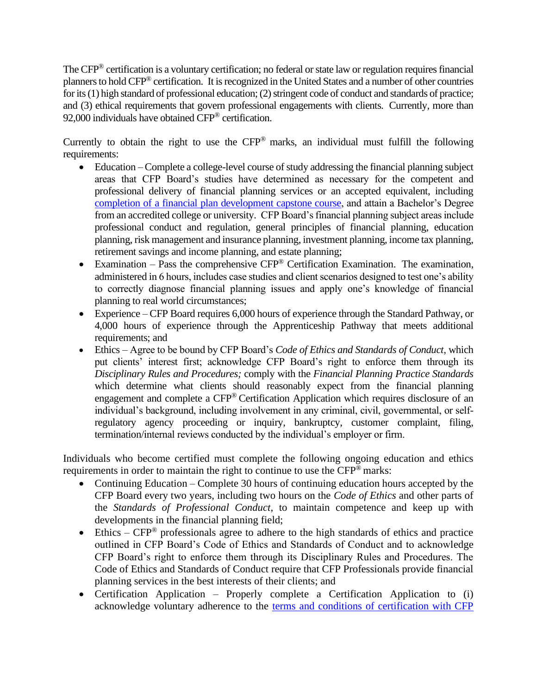The CFP® certification is a voluntary certification; no federal or state law or regulation requires financial planners to hold CFP® certification. It is recognized in the United States and a number of other countries for its (1) high standard of professional education; (2) stringent code of conduct and standards of practice; and (3) ethical requirements that govern professional engagements with clients. Currently, more than 92,000 individuals have obtained CFP® certification.

Currently to obtain the right to use the  $CFP^®$  marks, an individual must fulfill the following requirements:

- Education Complete a college-level course of study addressing the financial planning subject areas that CFP Board's studies have determined as necessary for the competent and professional delivery of financial planning services or an accepted equivalent, including [completion of a financial plan development capstone course,](https://www.cfp.net/become-a-cfp-professional/cfp-certification-requirements/education-requirement/capstone-course) and attain a Bachelor's Degree from an accredited college or university. CFP Board's financial planning subject areas include professional conduct and regulation, general principles of financial planning, education planning, risk management and insurance planning, investment planning, income tax planning, retirement savings and income planning, and estate planning;
- Examination Pass the comprehensive  $CFP^{\otimes}$  Certification Examination. The examination, administered in 6 hours, includes case studies and client scenarios designed to test one's ability to correctly diagnose financial planning issues and apply one's knowledge of financial planning to real world circumstances;
- Experience CFP Board requires 6,000 hours of experience through the Standard Pathway, or 4,000 hours of experience through the Apprenticeship Pathway that meets additional requirements; and
- Ethics Agree to be bound by CFP Board's *Code of Ethics and Standards of Conduct*, which put clients' interest first; acknowledge CFP Board's right to enforce them through its *Disciplinary Rules and Procedures;* comply with the *Financial Planning Practice Standards* which determine what clients should reasonably expect from the financial planning engagement and complete a CFP® Certification Application which requires disclosure of an individual's background, including involvement in any criminal, civil, governmental, or selfregulatory agency proceeding or inquiry, bankruptcy, customer complaint, filing, termination/internal reviews conducted by the individual's employer or firm.

Individuals who become certified must complete the following ongoing education and ethics requirements in order to maintain the right to continue to use the CFP® marks:

- Continuing Education Complete 30 hours of continuing education hours accepted by the CFP Board every two years, including two hours on the *Code of Ethics* and other parts of the *Standards of Professional Conduct*, to maintain competence and keep up with developments in the financial planning field;
- Ethics  $CFP^{\circledast}$  professionals agree to adhere to the high standards of ethics and practice outlined in CFP Board's Code of Ethics and Standards of Conduct and to acknowledge CFP Board's right to enforce them through its Disciplinary Rules and Procedures. The Code of Ethics and Standards of Conduct require that CFP Professionals provide financial planning services in the best interests of their clients; and
- Certification Application Properly complete a Certification Application to (i) acknowledge voluntary adherence to the [terms and conditions of certification with CFP](https://www.cfp.net/utility/terms-and-conditions-of-certification-and-license)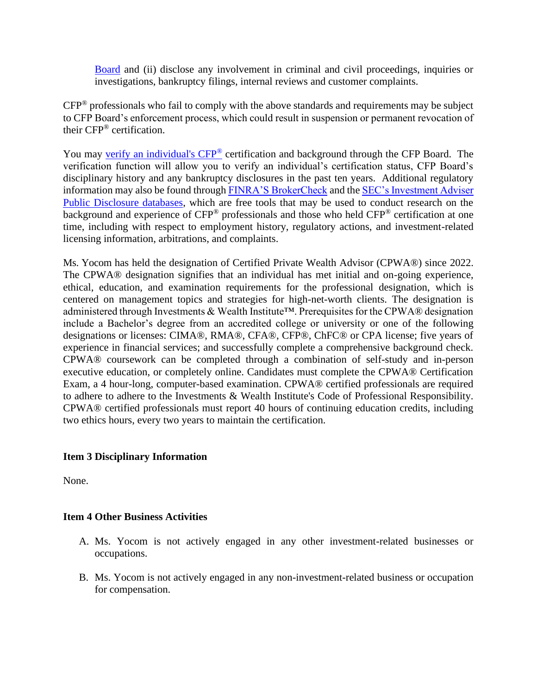[Board](https://www.cfp.net/utility/terms-and-conditions-of-certification-and-license) and (ii) disclose any involvement in criminal and civil proceedings, inquiries or investigations, bankruptcy filings, internal reviews and customer complaints.

CFP® professionals who fail to comply with the above standards and requirements may be subject to CFP Board's enforcement process, which could result in suspension or permanent revocation of their CFP® certification.

You may [verify an individual's CFP](https://www.cfp.net/verify-a-cfp-professional)<sup>®</sup> certification and background through the CFP Board. The verification function will allow you to verify an individual's certification status, CFP Board's disciplinary history and any bankruptcy disclosures in the past ten years. Additional regulatory information may also be found through [FINRA'S BrokerCheck](https://brokercheck.finra.org/) and the SEC's Investment Adviser [Public Disclosure databases,](https://www.adviserinfo.sec.gov/IAPD/Default.aspx) which are free tools that may be used to conduct research on the background and experience of CFP® professionals and those who held CFP® certification at one time, including with respect to employment history, regulatory actions, and investment-related licensing information, arbitrations, and complaints.

Ms. Yocom has held the designation of Certified Private Wealth Advisor (CPWA®) since 2022. The CPWA® designation signifies that an individual has met initial and on-going experience, ethical, education, and examination requirements for the professional designation, which is centered on management topics and strategies for high-net-worth clients. The designation is administered through Investments & Wealth Institute™. Prerequisites for the CPWA® designation include a Bachelor's degree from an accredited college or university or one of the following designations or licenses: CIMA®, RMA®, CFA®, CFP®, ChFC® or CPA license; five years of experience in financial services; and successfully complete a comprehensive background check. CPWA® coursework can be completed through a combination of self-study and in-person executive education, or completely online. Candidates must complete the CPWA® Certification Exam, a 4 hour-long, computer-based examination. CPWA® certified professionals are required to adhere to adhere to the Investments & Wealth Institute's Code of Professional Responsibility. CPWA® certified professionals must report 40 hours of continuing education credits, including two ethics hours, every two years to maintain the certification.

### **Item 3 Disciplinary Information**

None.

### **Item 4 Other Business Activities**

- A. Ms. Yocom is not actively engaged in any other investment-related businesses or occupations.
- B. Ms. Yocom is not actively engaged in any non-investment-related business or occupation for compensation.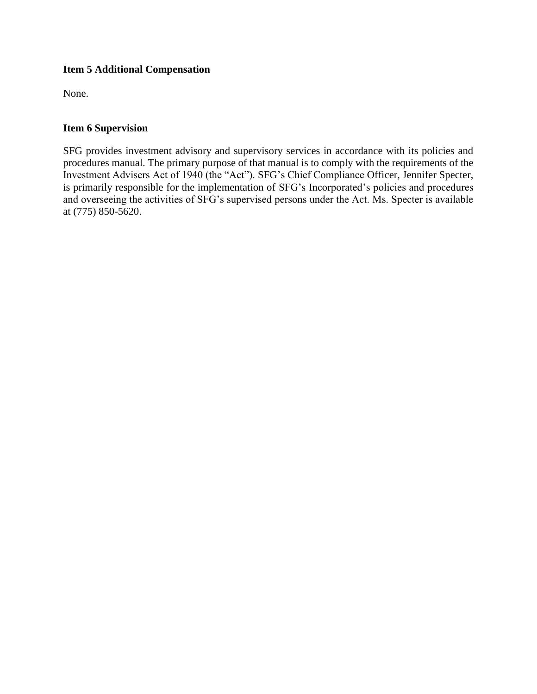### **Item 5 Additional Compensation**

None.

### **Item 6 Supervision**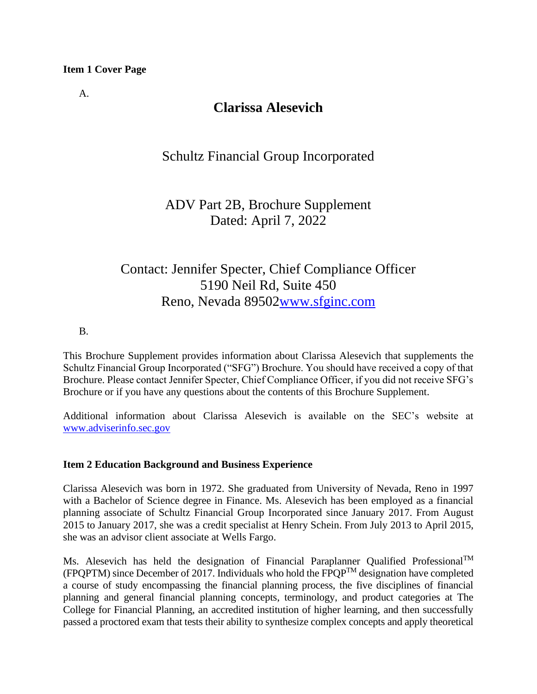A.

# **Clarissa Alesevich**

## Schultz Financial Group Incorporated

# ADV Part 2B, Brochure Supplement Dated: April 7, 2022

# Contact: Jennifer Specter, Chief Compliance Officer 5190 Neil Rd, Suite 450 Reno, Nevada 8950[2www.sfginc.com](http://www.sfginc.com/)

### B.

This Brochure Supplement provides information about Clarissa Alesevich that supplements the Schultz Financial Group Incorporated ("SFG") Brochure. You should have received a copy of that Brochure. Please contact Jennifer Specter, Chief Compliance Officer, if you did not receive SFG's Brochure or if you have any questions about the contents of this Brochure Supplement.

Additional information about Clarissa Alesevich is available on the SEC's website at [www.adviserinfo.sec.gov](http://www.adviserinfo.sec.gov/)

### **Item 2 Education Background and Business Experience**

Clarissa Alesevich was born in 1972. She graduated from University of Nevada, Reno in 1997 with a Bachelor of Science degree in Finance. Ms. Alesevich has been employed as a financial planning associate of Schultz Financial Group Incorporated since January 2017. From August 2015 to January 2017, she was a credit specialist at Henry Schein. From July 2013 to April 2015, she was an advisor client associate at Wells Fargo.

Ms. Alesevich has held the designation of Financial Paraplanner Qualified Professional<sup>TM</sup> (FPQPTM) since December of 2017. Individuals who hold the FPQPTM designation have completed a course of study encompassing the financial planning process, the five disciplines of financial planning and general financial planning concepts, terminology, and product categories at The College for Financial Planning, an accredited institution of higher learning, and then successfully passed a proctored exam that tests their ability to synthesize complex concepts and apply theoretical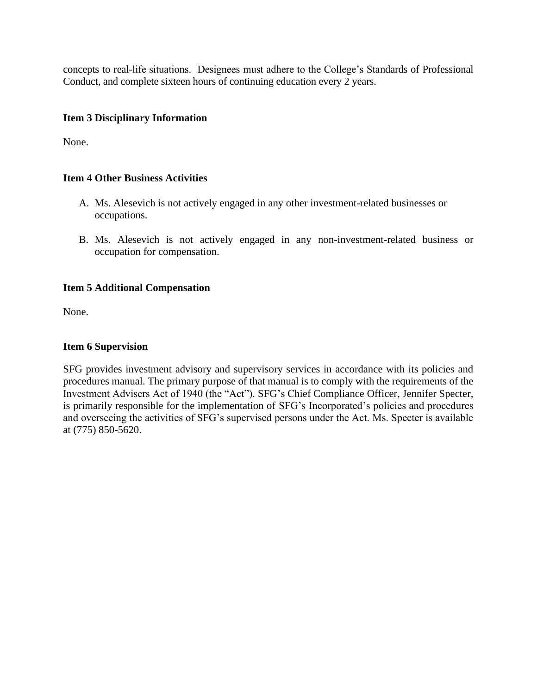concepts to real-life situations. Designees must adhere to the College's Standards of Professional Conduct, and complete sixteen hours of continuing education every 2 years.

### **Item 3 Disciplinary Information**

None.

### **Item 4 Other Business Activities**

- A. Ms. Alesevich is not actively engaged in any other investment-related businesses or occupations.
- B. Ms. Alesevich is not actively engaged in any non-investment-related business or occupation for compensation.

### **Item 5 Additional Compensation**

None.

### **Item 6 Supervision**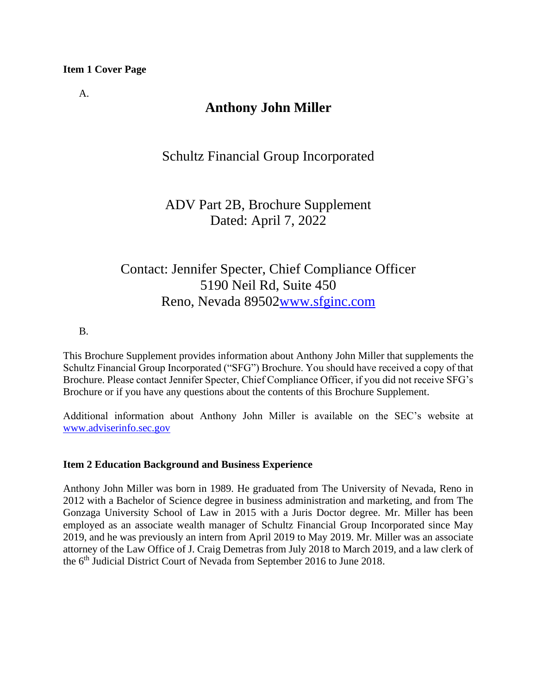A.

# **Anthony John Miller**

## Schultz Financial Group Incorporated

# ADV Part 2B, Brochure Supplement Dated: April 7, 2022

# Contact: Jennifer Specter, Chief Compliance Officer 5190 Neil Rd, Suite 450 Reno, Nevada 8950[2www.sfginc.com](http://www.sfginc.com/)

### B.

This Brochure Supplement provides information about Anthony John Miller that supplements the Schultz Financial Group Incorporated ("SFG") Brochure. You should have received a copy of that Brochure. Please contact Jennifer Specter, Chief Compliance Officer, if you did not receive SFG's Brochure or if you have any questions about the contents of this Brochure Supplement.

Additional information about Anthony John Miller is available on the SEC's website at [www.adviserinfo.sec.gov](http://www.adviserinfo.sec.gov/)

### **Item 2 Education Background and Business Experience**

Anthony John Miller was born in 1989. He graduated from The University of Nevada, Reno in 2012 with a Bachelor of Science degree in business administration and marketing, and from The Gonzaga University School of Law in 2015 with a Juris Doctor degree. Mr. Miller has been employed as an associate wealth manager of Schultz Financial Group Incorporated since May 2019, and he was previously an intern from April 2019 to May 2019. Mr. Miller was an associate attorney of the Law Office of J. Craig Demetras from July 2018 to March 2019, and a law clerk of the 6th Judicial District Court of Nevada from September 2016 to June 2018.